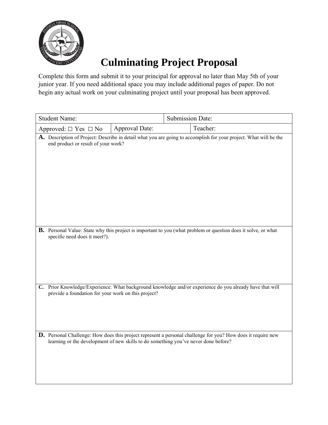

## **Culminating Project Proposal**

Complete this form and submit it to your principal for approval no later than May 5th of your junior year. If you need additional space you may include additional pages of paper. Do not begin any actual work on your culminating project until your proposal has been approved.

| <b>Student Name:</b>                                                                |                | Submission Date: |                                                                                                                       |
|-------------------------------------------------------------------------------------|----------------|------------------|-----------------------------------------------------------------------------------------------------------------------|
| Approved: $\Box$ Yes $\Box$ No                                                      | Approval Date: |                  | Teacher:                                                                                                              |
| end product or result of your work?                                                 |                |                  | A. Description of Project: Describe in detail what you are going to accomplish for your project. What will be the     |
| specific need does it meet?).                                                       |                |                  | <b>B.</b> Personal Value: State why this project is important to you (what problem or question does it solve, or what |
| provide a foundation for your work on this project?                                 |                |                  | C. Prior Knowledge/Experience: What background knowledge and/or experience do you already have that will              |
| learning or the development of new skills to do something you've never done before? |                |                  | <b>D.</b> Personal Challenge: How does this project represent a personal challenge for you? How does it require new   |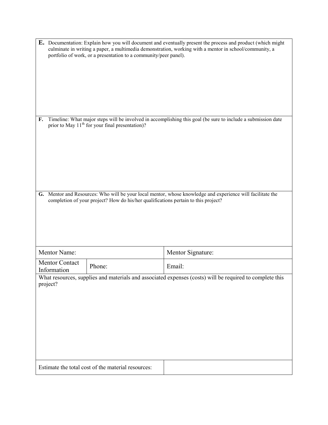| <b>E.</b> Documentation: Explain how you will document and eventually present the process and product (which might<br>culminate in writing a paper, a multimedia demonstration, working with a mentor in school/community, a<br>portfolio of work, or a presentation to a community/peer panel). |                                                                                    |                                                                                                            |  |  |
|--------------------------------------------------------------------------------------------------------------------------------------------------------------------------------------------------------------------------------------------------------------------------------------------------|------------------------------------------------------------------------------------|------------------------------------------------------------------------------------------------------------|--|--|
| Timeline: What major steps will be involved in accomplishing this goal (be sure to include a submission date<br>F.<br>prior to May $11th$ for your final presentation)?                                                                                                                          |                                                                                    |                                                                                                            |  |  |
|                                                                                                                                                                                                                                                                                                  | completion of your project? How do his/her qualifications pertain to this project? | G. Mentor and Resources: Who will be your local mentor, whose knowledge and experience will facilitate the |  |  |
| Mentor Name:                                                                                                                                                                                                                                                                                     |                                                                                    | Mentor Signature:                                                                                          |  |  |
| <b>Mentor Contact</b><br>Information                                                                                                                                                                                                                                                             | Phone:                                                                             | Email:                                                                                                     |  |  |
| project?                                                                                                                                                                                                                                                                                         |                                                                                    | What resources, supplies and materials and associated expenses (costs) will be required to complete this   |  |  |
| Estimate the total cost of the material resources:                                                                                                                                                                                                                                               |                                                                                    |                                                                                                            |  |  |